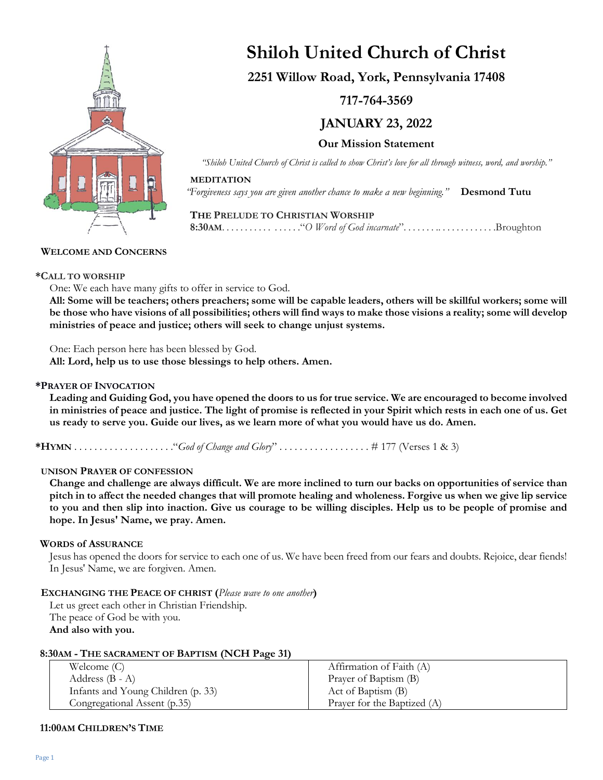

# **Shiloh United Church of Christ**

# **2251 Willow Road, York, Pennsylvania 17408**

**717-764-3569**

**JANUARY 23, 2022**

**Our Mission Statement**

*"Shiloh United Church of Christ is called to show Christ's love for all through witness, word, and worship."*

### **MEDITATION**

*"Forgiveness says you are given another chance to make a new beginning."* **Desmond Tutu**

# **THE PRELUDE TO CHRISTIAN WORSHIP 8:30AM**. . . . . . . . . . . . . . . . ."*O Word of God incarnate*". . . . . . . .. . . . . . . . . . . . .Broughton

# **WELCOME AND CONCERNS**

# **\*CALL TO WORSHIP**

One: We each have many gifts to offer in service to God.

**All: Some will be teachers; others preachers; some will be capable leaders, others will be skillful workers; some will be those who have visions of all possibilities; others will find ways to make those visions a reality; some will develop ministries of peace and justice; others will seek to change unjust systems.**

One: Each person here has been blessed by God.

**All: Lord, help us to use those blessings to help others. Amen.**

# **\*PRAYER OF INVOCATION**

**Leading and Guiding God, you have opened the doors to us for true service. We are encouraged to become involved in ministries of peace and justice. The light of promise is reflected in your Spirit which rests in each one of us. Get us ready to serve you. Guide our lives, as we learn more of what you would have us do. Amen.**

**\*HYMN** . . . . . . . . . . . . . . . . . . . ."*God of Change and Glory*" . . . . . . . . . . . . . . . . . . # 177 (Verses 1 & 3)

# **UNISON PRAYER OF CONFESSION**

**Change and challenge are always difficult. We are more inclined to turn our backs on opportunities of service than pitch in to affect the needed changes that will promote healing and wholeness. Forgive us when we give lip service to you and then slip into inaction. Give us courage to be willing disciples. Help us to be people of promise and hope. In Jesus' Name, we pray. Amen.**

# **WORDS of ASSURANCE**

Jesus has opened the doors for service to each one of us. We have been freed from our fears and doubts. Rejoice, dear fiends! In Jesus' Name, we are forgiven. Amen.

# **EXCHANGING THE PEACE OF CHRIST (***Please wave to one another***)**

Let us greet each other in Christian Friendship. The peace of God be with you. **And also with you.**

| Welcome $(C)$                      | Affirmation of Faith (A)    |
|------------------------------------|-----------------------------|
| Address $(B - A)$                  | Prayer of Baptism (B)       |
| Infants and Young Children (p. 33) | Act of Baptism (B)          |
| Congregational Assent (p.35)       | Prayer for the Baptized (A) |

# **11:00AM CHILDREN'S TIME**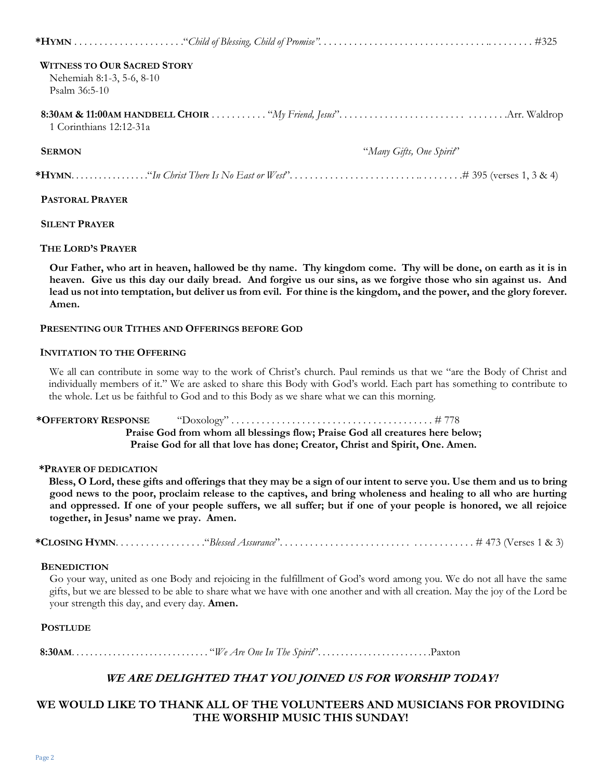| <b>WITNESS TO OUR SACRED STORY</b> |                          |
|------------------------------------|--------------------------|
| Nehemiah 8:1-3, 5-6, 8-10          |                          |
| Psalm 36:5-10                      |                          |
| 1 Corinthians 12:12-31a            |                          |
| <b>SERMON</b>                      | "Many Gifts, One Spirit" |
|                                    |                          |

#### **PASTORAL PRAYER**

#### **SILENT PRAYER**

#### **THE LORD'S PRAYER**

**Our Father, who art in heaven, hallowed be thy name. Thy kingdom come. Thy will be done, on earth as it is in heaven. Give us this day our daily bread. And forgive us our sins, as we forgive those who sin against us. And lead us not into temptation, but deliver us from evil. For thine is the kingdom, and the power, and the glory forever. Amen.**

#### **PRESENTING OUR TITHES AND OFFERINGS BEFORE GOD**

#### **INVITATION TO THE OFFERING**

We all can contribute in some way to the work of Christ's church. Paul reminds us that we "are the Body of Christ and individually members of it." We are asked to share this Body with God's world. Each part has something to contribute to the whole. Let us be faithful to God and to this Body as we share what we can this morning.

# **\*OFFERTORY RESPONSE** "Doxology" . . . . . . . . . . . . . . . . . . . . . . . . . . . . . . . . . . . . . . . . # 778 **Praise God from whom all blessings flow; Praise God all creatures here below; Praise God for all that love has done; Creator, Christ and Spirit, One. Amen.**

#### **\*PRAYER OF DEDICATION**

**Bless, O Lord, these gifts and offerings that they may be a sign of our intent to serve you. Use them and us to bring good news to the poor, proclaim release to the captives, and bring wholeness and healing to all who are hurting and oppressed. If one of your people suffers, we all suffer; but if one of your people is honored, we all rejoice together, in Jesus' name we pray. Amen.**

**\*CLOSING HYMN**. . . . . . . . . . . . . . . . . ."*Blessed Assurance*". . . . . . *. . . . . . . . . . . . . . . . . . . .* . . . . . . . . . . . . # 473 (Verses 1 & 3)

#### **BENEDICTION**

Go your way, united as one Body and rejoicing in the fulfillment of God's word among you. We do not all have the same gifts, but we are blessed to be able to share what we have with one another and with all creation. May the joy of the Lord be your strength this day, and every day. **Amen.**

#### **POSTLUDE**

 **8:30AM**. . . . . . . . . . . . . . . . . . . . . . . . . . . . . . "*We Are One In The Spirit*". . . . . . . . . . . . . . . . . . . . . . . . .Paxton

# **WE ARE DELIGHTED THAT YOU JOINED US FOR WORSHIP TODAY!**

# **WE WOULD LIKE TO THANK ALL OF THE VOLUNTEERS AND MUSICIANS FOR PROVIDING THE WORSHIP MUSIC THIS SUNDAY!**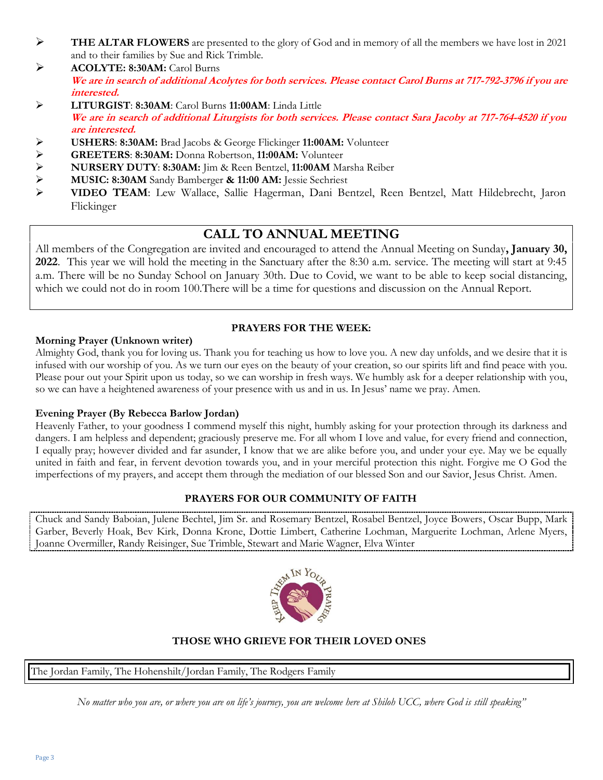- ➢ **THE ALTAR FLOWERS** are presented to the glory of God and in memory of all the members we have lost in 2021 and to their families by Sue and Rick Trimble.
- ➢ **ACOLYTE: 8:30AM:** Carol Burns **We are in search of additional Acolytes for both services. Please contact Carol Burns at 717-792-3796 if you are interested.**
- ➢ **LITURGIST**: **8:30AM**: Carol Burns **11:00AM**: Linda Little **We are in search of additional Liturgists for both services. Please contact Sara Jacoby at 717-764-4520 if you are interested.**
- ➢ **USHERS**: **8:30AM:** Brad Jacobs & George Flickinger **11:00AM:** Volunteer
- 
- ➢ **GREETERS**: **8:30AM:** Donna Robertson, **11:00AM:** Volunteer ➢ **NURSERY DUTY**: **8:30AM:** Jim & Reen Bentzel, **11:00AM** Marsha Reiber
- ➢ **MUSIC: 8:30AM** Sandy Bamberger **& 11:00 AM:** Jessie Sechriest
- ➢ **VIDEO TEAM**: Lew Wallace, Sallie Hagerman, Dani Bentzel, Reen Bentzel, Matt Hildebrecht, Jaron Flickinger

# **CALL TO ANNUAL MEETING**

All members of the Congregation are invited and encouraged to attend the Annual Meeting on Sunday**, January 30, 2022**. This year we will hold the meeting in the Sanctuary after the 8:30 a.m. service. The meeting will start at 9:45 a.m. There will be no Sunday School on January 30th. Due to Covid, we want to be able to keep social distancing, which we could not do in room 100. There will be a time for questions and discussion on the Annual Report.

# **PRAYERS FOR THE WEEK:**

# **Morning Prayer (Unknown writer)**

Almighty God, thank you for loving us. Thank you for teaching us how to love you. A new day unfolds, and we desire that it is infused with our worship of you. As we turn our eyes on the beauty of your creation, so our spirits lift and find peace with you. Please pour out your Spirit upon us today, so we can worship in fresh ways. We humbly ask for a deeper relationship with you, so we can have a heightened awareness of your presence with us and in us. In Jesus' name we pray. Amen.

# **Evening Prayer (By Rebecca Barlow Jordan)**

Heavenly Father, to your goodness I commend myself this night, humbly asking for your protection through its darkness and dangers. I am helpless and dependent; graciously preserve me. For all whom I love and value, for every friend and connection, I equally pray; however divided and far asunder, I know that we are alike before you, and under your eye. May we be equally united in faith and fear, in fervent devotion towards you, and in your merciful protection this night. Forgive me O God the imperfections of my prayers, and accept them through the mediation of our blessed Son and our Savior, Jesus Christ. Amen.

# **PRAYERS FOR OUR COMMUNITY OF FAITH**

Chuck and Sandy Baboian, Julene Bechtel, Jim Sr. and Rosemary Bentzel, Rosabel Bentzel, Joyce Bowers, Oscar Bupp, Mark Garber, Beverly Hoak, Bev Kirk, Donna Krone, Dottie Limbert, Catherine Lochman, Marguerite Lochman, Arlene Myers, Joanne Overmiller, Randy Reisinger, Sue Trimble, Stewart and Marie Wagner, Elva Winter



# **THOSE WHO GRIEVE FOR THEIR LOVED ONES**

The Jordan Family, The Hohenshilt/Jordan Family, The Rodgers Family

*No matter who you are, or where you are on life's journey, you are welcome here at Shiloh UCC, where God is still speaking"*